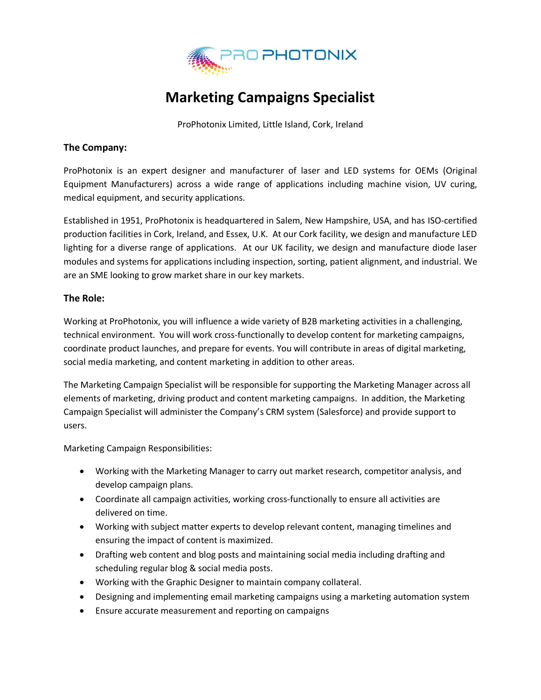

## **Marketing Campaigns Specialist**

ProPhotonix Limited, Little Island, Cork, Ireland

## **The Company:**

ProPhotonix is an expert designer and manufacturer of laser and LED systems for OEMs (Original Equipment Manufacturers) across a wide range of applications including machine vision, UV curing, medical equipment, and security applications.

Established in 1951, ProPhotonix is headquartered in Salem, New Hampshire, USA, and has ISO-certified production facilities in Cork, Ireland, and Essex, U.K. At our Cork facility, we design and manufacture LED lighting for a diverse range of applications. At our UK facility, we design and manufacture diode laser modules and systems for applications including inspection, sorting, patient alignment, and industrial. We are an SME looking to grow market share in our key markets.

## **The Role:**

Working at ProPhotonix, you will influence a wide variety of B2B marketing activities in a challenging, technical environment. You will work cross-functionally to develop content for marketing campaigns, coordinate product launches, and prepare for events. You will contribute in areas of digital marketing, social media marketing, and content marketing in addition to other areas.

The Marketing Campaign Specialist will be responsible for supporting the Marketing Manager across all elements of marketing, driving product and content marketing campaigns. In addition, the Marketing Campaign Specialist will administer the Company's CRM system (Salesforce) and provide support to users.

Marketing Campaign Responsibilities:

- Working with the Marketing Manager to carry out market research, competitor analysis, and develop campaign plans.
- Coordinate all campaign activities, working cross-functionally to ensure all activities are delivered on time.
- Working with subject matter experts to develop relevant content, managing timelines and ensuring the impact of content is maximized.
- Drafting web content and blog posts and maintaining social media including drafting and scheduling regular blog & social media posts.
- Working with the Graphic Designer to maintain company collateral.
- Designing and implementing email marketing campaigns using a marketing automation system
- Ensure accurate measurement and reporting on campaigns